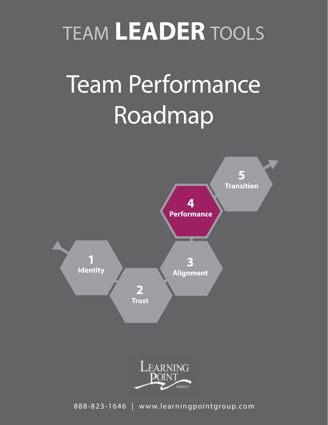# TEAM **LEADER** TOOLS

# Team Performance Roadmap



888-823-1646 | www.learningpointgroup.com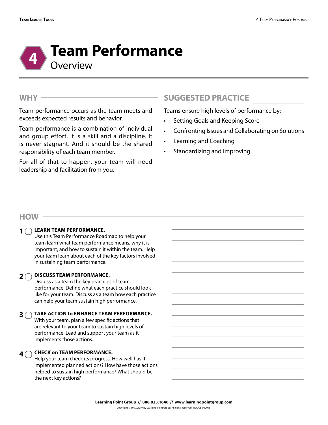

### **WHY**

Team performance occurs as the team meets and exceeds expected results and behavior.

Team performance is a combination of individual and group effort. It is a skill and a discipline. It is never stagnant. And it should be the shared responsibility of each team member.

For all of that to happen, your team will need leadership and facilitation from you.

## **SUGGESTED PRACTICE**

Teams ensure high levels of performance by:

- Setting Goals and Keeping Score
- Confronting Issues and Collaborating on Solutions
- Learning and Coaching
- Standardizing and Improving

### **HOW**

#### **LEARN TEAM PERFORMANCE. 1**

Use this Team Performance Roadmap to help your team learn what team performance means, why it is important, and how to sustain it within the team. Help your team learn about each of the key factors involved in sustaining team performance.

#### **DISCUSS TEAM PERFORMANCE.**   $2 \cap$

Discuss as a team the key practices of team performance. Define what each practice should look like for your team. Discuss as a team how each practice can help your team sustain high performance.

#### **TAKE ACTION to ENHANCE TEAM PERFORMANCE. 3**

With your team, plan a few specific actions that are relevant to your team to sustain high levels of performance. Lead and support your team as it implements those actions.

#### **CHECK on TEAM PERFORMANCE. 4**  $\bigcap$

Help your team check its progress. How well has it implemented planned actions? How have those actions helped to sustain high performance? What should be the next key actions?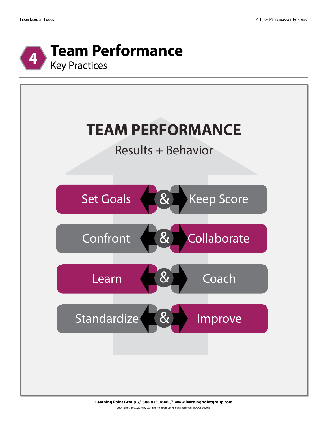



**Learning Point Group // 888.823.1646 // www.learningpointgroup.com** Copyright © 1997/2019 by Learning Point Group. All rights reserved. Rev. CS-042018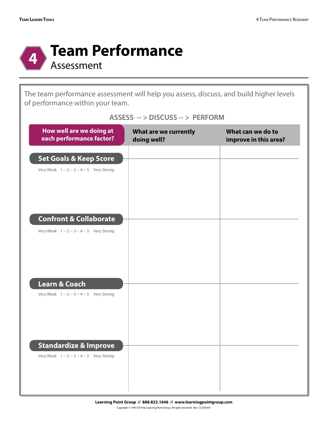

The team performance assessment will help you assess, discuss, and build higher levels of performance within your team.

| How well are we doing at<br>each performance factor?                    | What are we currently<br>doing well? | What can we do to<br>improve in this area? |
|-------------------------------------------------------------------------|--------------------------------------|--------------------------------------------|
| <b>Set Goals &amp; Keep Score</b>                                       |                                      |                                            |
| Very Weak 1 -- 2 -- 3 -- 4 -- 5 Very Strong                             |                                      |                                            |
|                                                                         |                                      |                                            |
| <b>Confront &amp; Collaborate</b>                                       |                                      |                                            |
| Very Weak 1 -- 2 -- 3 -- 4 -- 5 Very Strong                             |                                      |                                            |
|                                                                         |                                      |                                            |
|                                                                         |                                      |                                            |
| <b>Learn &amp; Coach</b><br>Very Weak 1 -- 2 -- 3 -- 4 -- 5 Very Strong |                                      |                                            |
|                                                                         |                                      |                                            |
|                                                                         |                                      |                                            |
| <b>Standardize &amp; Improve</b>                                        |                                      |                                            |
| Very Weak 1 -- 2 -- 3 -- 4 -- 5 Very Strong                             |                                      |                                            |
|                                                                         |                                      |                                            |

## **ASSESS -- > DISCUSS -- > PERFORM**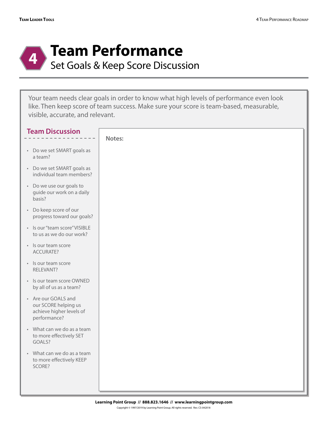

Your team needs clear goals in order to know what high levels of performance even look like. Then keep score of team success. Make sure your score is team-based, measurable, visible, accurate, and relevant.

| <b>Team Discussion</b>                                                                  |        |
|-----------------------------------------------------------------------------------------|--------|
|                                                                                         | Notes: |
| • Do we set SMART goals as<br>a team?                                                   |        |
| • Do we set SMART goals as<br>individual team members?                                  |        |
| • Do we use our goals to<br>guide our work on a daily<br>basis?                         |        |
| • Do keep score of our<br>progress toward our goals?                                    |        |
| · Is our "team score" VISIBLE<br>to us as we do our work?                               |        |
| · Is our team score<br>ACCURATE?                                                        |        |
| · Is our team score<br>RELEVANT?                                                        |        |
| · Is our team score OWNED<br>by all of us as a team?                                    |        |
| • Are our GOALS and<br>our SCORE helping us<br>achieve higher levels of<br>performance? |        |
| • What can we do as a team<br>to more effectively SET<br>GOALS?                         |        |
| • What can we do as a team<br>to more effectively KEEP<br>SCORE?                        |        |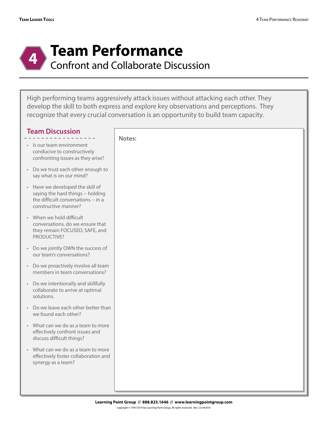

## **Team Performance**

Confront and Collaborate Discussion

High performing teams aggressively attack issues without attacking each other. They develop the skill to both express and explore key observations and perceptions. They recognize that every crucial conversation is an opportunity to build team capacity.

| <b>Team Discussion</b>                                                                                                               | Notes: |
|--------------------------------------------------------------------------------------------------------------------------------------|--------|
| · Is our team environment<br>conducive to constructively<br>confronting issues as they arise?                                        |        |
| • Do we trust each other enough to<br>say what is on our mind?                                                                       |        |
| • Have we developed the skill of<br>saying the hard things -- holding<br>the difficult conversations -- in a<br>constructive manner? |        |
| • When we hold difficult<br>conversations, do we ensure that<br>they remain FOCUSED, SAFE, and<br>PRODUCTIVE?                        |        |
| • Do we jointly OWN the success of<br>our team's conversations?                                                                      |        |
| • Do we proactively involve all team<br>members in team conversations?                                                               |        |
| • Do we intentionally and skillfully<br>collaborate to arrive at optimal<br>solutions.                                               |        |
| • Do we leave each other better than<br>we found each other?                                                                         |        |
| • What can we do as a team to more<br>effectively confront issues and<br>discuss difficult things?                                   |        |
| What can we do as a team to more<br>effectively foster collaboration and<br>synergy as a team?                                       |        |
|                                                                                                                                      |        |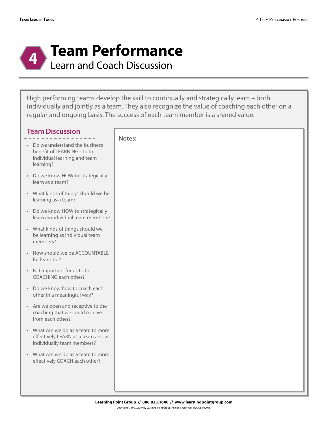

## **Team Performance**

Learn and Coach Discussion

High performing teams develop the skill to continually and strategically learn – both individually and jointly as a team. They also recognize the value of coaching each other on a regular and ongoing basis. The success of each team member is a shared value.

| <b>Team Discussion</b>                                                                                     | Notes: |
|------------------------------------------------------------------------------------------------------------|--------|
| • Do we understand the business<br>benefit of LEARNING - both<br>individual learning and team<br>learning? |        |
| • Do we know HOW to strategically<br>learn as a team?                                                      |        |
| • What kinds of things should we be<br>learning as a team?                                                 |        |
| • Do we know HOW to strategically<br>learn as individual team members?                                     |        |
| • What kinds of things should we<br>be learning as individual team<br>members?                             |        |
| • How should we be ACCOUNTABLE<br>for learning?                                                            |        |
| • Is it important for us to be<br>COACHING each other?                                                     |        |
| • Do we know how to coach each<br>other in a meaningful way?                                               |        |
| • Are we open and receptive to the<br>coaching that we could receive<br>from each other?                   |        |
| • What can we do as a team to more<br>effectively LEARN as a team and as<br>individually team members?     |        |
| • What can we do as a team to more<br>effectively COACH each other?                                        |        |
|                                                                                                            |        |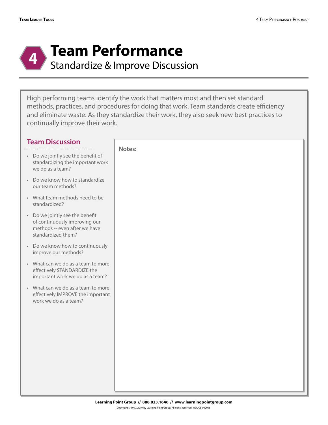

## **Team Performance**

Standardize & Improve Discussion

High performing teams identify the work that matters most and then set standard methods, practices, and procedures for doing that work. Team standards create efficiency and eliminate waste. As they standardize their work, they also seek new best practices to continually improve their work.

| <b>Team Discussion</b>                                                                                                  | Notes: |
|-------------------------------------------------------------------------------------------------------------------------|--------|
| • Do we jointly see the benefit of<br>standardizing the important work<br>we do as a team?                              |        |
| • Do we know how to standardize<br>our team methods?                                                                    |        |
| • What team methods need to be<br>standardized?                                                                         |        |
| • Do we jointly see the benefit<br>of continuously improving our<br>methods -- even after we have<br>standardized them? |        |
| • Do we know how to continuously<br>improve our methods?                                                                |        |
| • What can we do as a team to more<br>effectively STANDARDIZE the<br>important work we do as a team?                    |        |
| • What can we do as a team to more<br>effectively IMPROVE the important<br>work we do as a team?                        |        |
|                                                                                                                         |        |